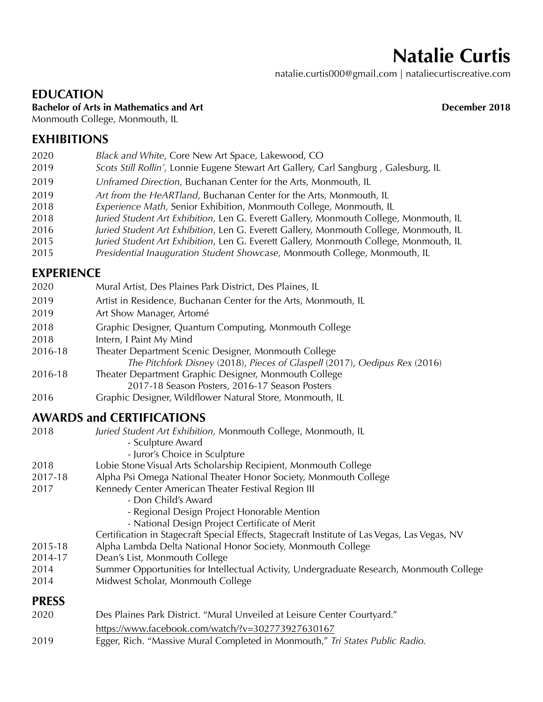# **Natalie Curtis**

natalie.curtis000@gmail.com | nataliecurtiscreative.com

### **EDUCATION**

**Bachelor of Arts in Mathematics and Art Server Art Server Art Art December 2018** 

Monmouth College, Monmouth, IL

## **EXHIBITIONS**

- 2020 *Black and White,* Core New Art Space, Lakewood, CO
- 2019 *Scots Still Rollin',* Lonnie Eugene Stewart Art Gallery, Carl Sangburg , Galesburg, IL
- 2019 *Unframed Direction,* Buchanan Center for the Arts, Monmouth, IL
- 2019 *Art from the HeARTland*, Buchanan Center for the Arts, Monmouth, IL
- 2018 *Experience Math,* Senior Exhibition, Monmouth College, Monmouth, IL
- 2018 *Juried Student Art Exhibition,* Len G. Everett Gallery, Monmouth College, Monmouth, IL
- 2016 *Juried Student Art Exhibition*, Len G. Everett Gallery, Monmouth College, Monmouth, IL
- 2015 *Juried Student Art Exhibition*, Len G. Everett Gallery, Monmouth College, Monmouth, IL
- 2015 *Presidential Inauguration Student Showcase,* Monmouth College, Monmouth, IL

### **EXPERIENCE**

| 2020    | Mural Artist, Des Plaines Park District, Des Plaines, IL                                                                           |
|---------|------------------------------------------------------------------------------------------------------------------------------------|
| 2019    | Artist in Residence, Buchanan Center for the Arts, Monmouth, IL                                                                    |
| 2019    | Art Show Manager, Artomé                                                                                                           |
| 2018    | Graphic Designer, Quantum Computing, Monmouth College                                                                              |
| 2018    | Intern, I Paint My Mind                                                                                                            |
| 2016-18 | Theater Department Scenic Designer, Monmouth College<br>The Pitchfork Disney (2018), Pieces of Glaspell (2017), Oedipus Rex (2016) |
| 2016-18 | Theater Department Graphic Designer, Monmouth College<br>2017-18 Season Posters, 2016-17 Season Posters                            |
| 2016    | Graphic Designer, Wildflower Natural Store, Monmouth, IL                                                                           |

## **AWARDS and CERTIFICATIONS**

| 2018         | Juried Student Art Exhibition, Monmouth College, Monmouth, IL<br>- Sculpture Award            |
|--------------|-----------------------------------------------------------------------------------------------|
|              | - Juror's Choice in Sculpture                                                                 |
| 2018         | Lobie Stone Visual Arts Scholarship Recipient, Monmouth College                               |
| 2017-18      | Alpha Psi Omega National Theater Honor Society, Monmouth College                              |
| 2017         | Kennedy Center American Theater Festival Region III                                           |
|              | - Don Child's Award                                                                           |
|              | - Regional Design Project Honorable Mention                                                   |
|              | - National Design Project Certificate of Merit                                                |
|              | Certification in Stagecraft Special Effects, Stagecraft Institute of Las Vegas, Las Vegas, NV |
| 2015-18      | Alpha Lambda Delta National Honor Society, Monmouth College                                   |
| 2014-17      | Dean's List, Monmouth College                                                                 |
| 2014         | Summer Opportunities for Intellectual Activity, Undergraduate Research, Monmouth College      |
| 2014         | Midwest Scholar, Monmouth College                                                             |
| <b>PRESS</b> |                                                                                               |
| 2020         | Des Plaines Park District. "Mural Unveiled at Leisure Center Courtyard."                      |
|              | https://www.facebook.com/watch/?v=302773927630167                                             |
| 2019         | Egger, Rich. "Massive Mural Completed in Monmouth," Tri States Public Radio.                  |